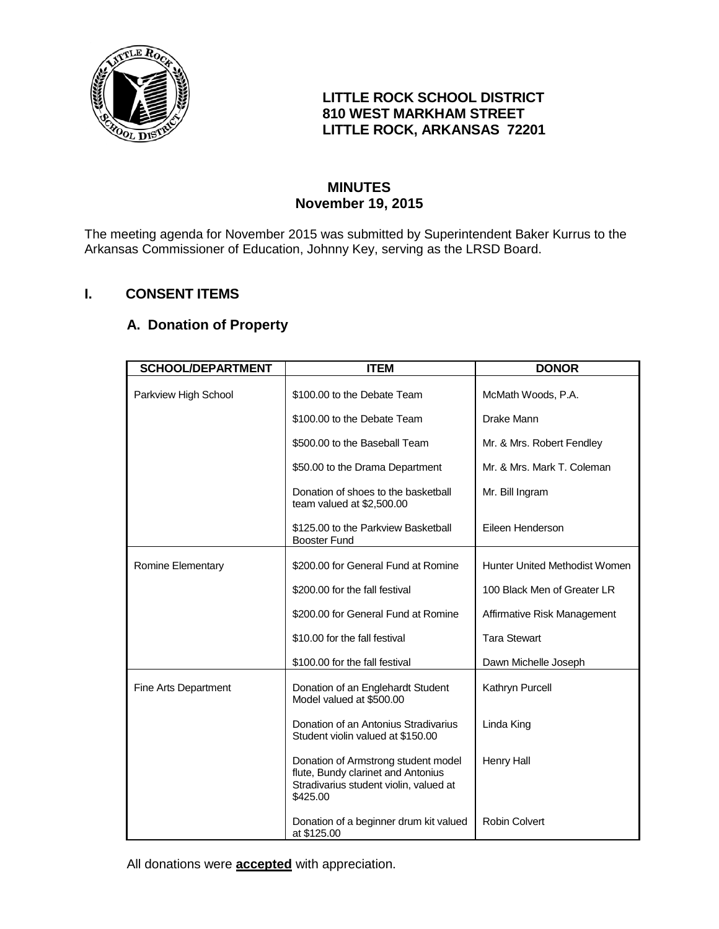

## **LITTLE ROCK SCHOOL DISTRICT 810 WEST MARKHAM STREET LITTLE ROCK, ARKANSAS 72201**

## **MINUTES November 19, 2015**

The meeting agenda for November 2015 was submitted by Superintendent Baker Kurrus to the Arkansas Commissioner of Education, Johnny Key, serving as the LRSD Board.

# **I. CONSENT ITEMS**

# **A. Donation of Property**

| <b>SCHOOL/DEPARTMENT</b> | <b>ITEM</b>                                                                                                                     | <b>DONOR</b>                  |
|--------------------------|---------------------------------------------------------------------------------------------------------------------------------|-------------------------------|
| Parkview High School     | \$100.00 to the Debate Team                                                                                                     | McMath Woods, P.A.            |
|                          | \$100.00 to the Debate Team                                                                                                     | Drake Mann                    |
|                          | \$500.00 to the Baseball Team                                                                                                   | Mr. & Mrs. Robert Fendley     |
|                          | \$50.00 to the Drama Department                                                                                                 | Mr. & Mrs. Mark T. Coleman    |
|                          | Donation of shoes to the basketball<br>team valued at \$2,500.00                                                                | Mr. Bill Ingram               |
|                          | \$125.00 to the Parkview Basketball<br><b>Booster Fund</b>                                                                      | Eileen Henderson              |
| Romine Elementary        | \$200.00 for General Fund at Romine                                                                                             | Hunter United Methodist Women |
|                          | \$200.00 for the fall festival                                                                                                  | 100 Black Men of Greater LR   |
|                          | \$200.00 for General Fund at Romine                                                                                             | Affirmative Risk Management   |
|                          | \$10.00 for the fall festival                                                                                                   | <b>Tara Stewart</b>           |
|                          | \$100.00 for the fall festival                                                                                                  | Dawn Michelle Joseph          |
| Fine Arts Department     | Donation of an Englehardt Student<br>Model valued at \$500.00                                                                   | Kathryn Purcell               |
|                          | Donation of an Antonius Stradivarius<br>Student violin valued at \$150.00                                                       | Linda King                    |
|                          | Donation of Armstrong student model<br>flute, Bundy clarinet and Antonius<br>Stradivarius student violin, valued at<br>\$425.00 | <b>Henry Hall</b>             |
|                          | Donation of a beginner drum kit valued<br>at \$125.00                                                                           | <b>Robin Colvert</b>          |

All donations were **accepted** with appreciation.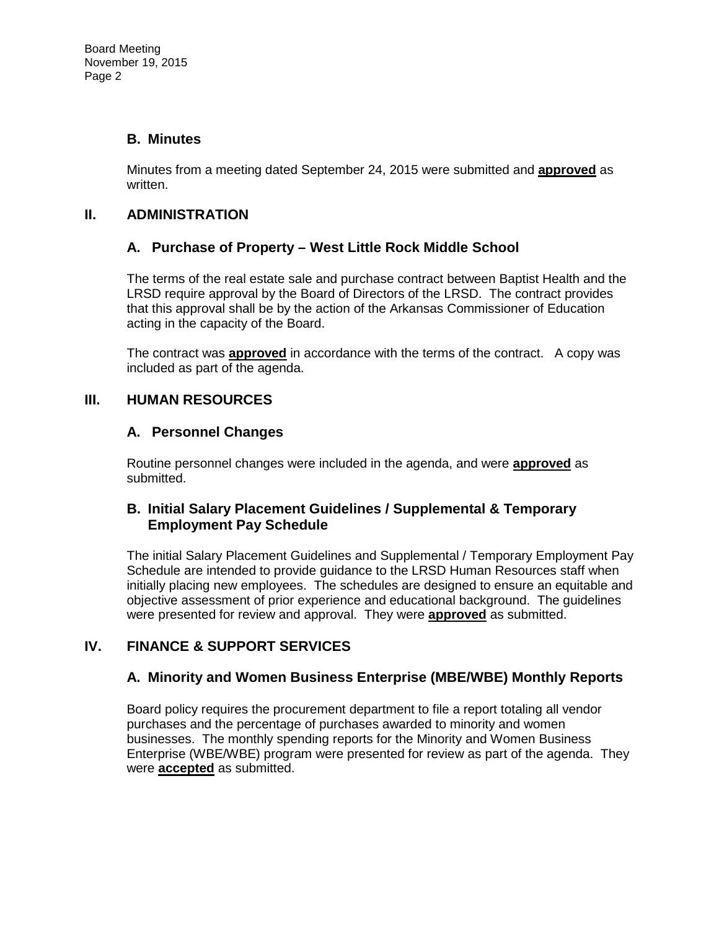#### **B. Minutes**

Minutes from a meeting dated September 24, 2015 were submitted and **approved** as written.

#### **II. ADMINISTRATION**

## **A. Purchase of Property – West Little Rock Middle School**

The terms of the real estate sale and purchase contract between Baptist Health and the LRSD require approval by the Board of Directors of the LRSD. The contract provides that this approval shall be by the action of the Arkansas Commissioner of Education acting in the capacity of the Board.

The contract was **approved** in accordance with the terms of the contract. A copy was included as part of the agenda.

## **III. HUMAN RESOURCES**

#### **A. Personnel Changes**

Routine personnel changes were included in the agenda, and were **approved** as submitted.

#### **B. Initial Salary Placement Guidelines / Supplemental & Temporary Employment Pay Schedule**

The initial Salary Placement Guidelines and Supplemental / Temporary Employment Pay Schedule are intended to provide guidance to the LRSD Human Resources staff when initially placing new employees. The schedules are designed to ensure an equitable and objective assessment of prior experience and educational background. The guidelines were presented for review and approval. They were **approved** as submitted.

# **IV. FINANCE & SUPPORT SERVICES**

#### **A. Minority and Women Business Enterprise (MBE/WBE) Monthly Reports**

Board policy requires the procurement department to file a report totaling all vendor purchases and the percentage of purchases awarded to minority and women businesses. The monthly spending reports for the Minority and Women Business Enterprise (WBE/WBE) program were presented for review as part of the agenda. They were **accepted** as submitted.